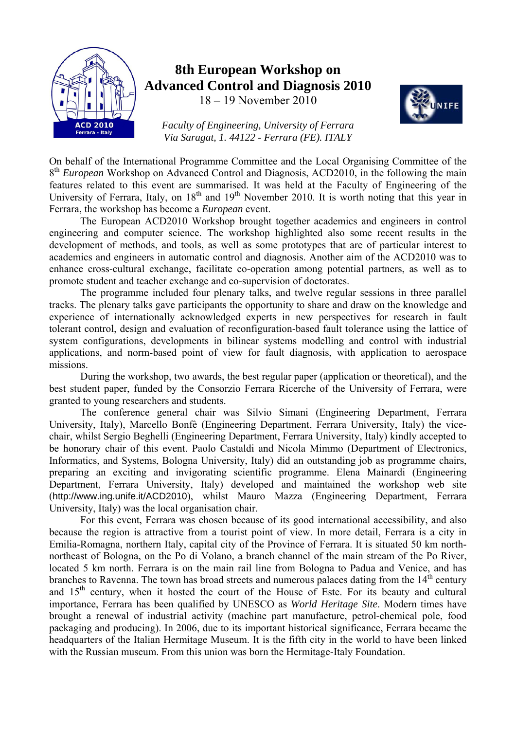

# **8th European Workshop on Advanced Control and Diagnosis 2010**

18 – 19 November 2010



*Faculty of Engineering, University of Ferrara Via Saragat, 1. 44122 - Ferrara (FE). ITALY* 

On behalf of the International Programme Committee and the Local Organising Committee of the 8<sup>th</sup> *European* Workshop on Advanced Control and Diagnosis, ACD2010, in the following the main features related to this event are summarised. It was held at the Faculty of Engineering of the University of Ferrara, Italy, on  $18<sup>th</sup>$  and  $19<sup>th</sup>$  November 2010. It is worth noting that this year in Ferrara, the workshop has become a *European* event.

The European ACD2010 Workshop brought together academics and engineers in control engineering and computer science. The workshop highlighted also some recent results in the development of methods, and tools, as well as some prototypes that are of particular interest to academics and engineers in automatic control and diagnosis. Another aim of the ACD2010 was to enhance cross-cultural exchange, facilitate co-operation among potential partners, as well as to promote student and teacher exchange and co-supervision of doctorates.

The programme included four plenary talks, and twelve regular sessions in three parallel tracks. The plenary talks gave participants the opportunity to share and draw on the knowledge and experience of internationally acknowledged experts in new perspectives for research in fault tolerant control, design and evaluation of reconfiguration-based fault tolerance using the lattice of system configurations, developments in bilinear systems modelling and control with industrial applications, and norm-based point of view for fault diagnosis, with application to aerospace missions.

During the workshop, two awards, the best regular paper (application or theoretical), and the best student paper, funded by the Consorzio Ferrara Ricerche of the University of Ferrara, were granted to young researchers and students.

The conference general chair was Silvio Simani (Engineering Department, Ferrara University, Italy), Marcello Bonfè (Engineering Department, Ferrara University, Italy) the vicechair, whilst Sergio Beghelli (Engineering Department, Ferrara University, Italy) kindly accepted to be honorary chair of this event. Paolo Castaldi and Nicola Mimmo (Department of Electronics, Informatics, and Systems, Bologna University, Italy) did an outstanding job as programme chairs, preparing an exciting and invigorating scientific programme. Elena Mainardi (Engineering Department, Ferrara University, Italy) developed and maintained the workshop web site (http://www.ing.unife.it/ACD2010), whilst Mauro Mazza (Engineering Department, Ferrara University, Italy) was the local organisation chair.

For this event, Ferrara was chosen because of its good international accessibility, and also because the region is attractive from a tourist point of view. In more detail, Ferrara is a city in Emilia-Romagna, northern Italy, capital city of the Province of Ferrara. It is situated 50 km northnortheast of Bologna, on the Po di Volano, a branch channel of the main stream of the Po River, located 5 km north. Ferrara is on the main rail line from Bologna to Padua and Venice, and has branches to Ravenna. The town has broad streets and numerous palaces dating from the  $14<sup>th</sup>$  century and  $15<sup>th</sup>$  century, when it hosted the court of the House of Este. For its beauty and cultural importance, Ferrara has been qualified by UNESCO as *World Heritage Site*. Modern times have brought a renewal of industrial activity (machine part manufacture, petrol-chemical pole, food packaging and producing). In 2006, due to its important historical significance, Ferrara became the headquarters of the Italian Hermitage Museum. It is the fifth city in the world to have been linked with the Russian museum. From this union was born the Hermitage-Italy Foundation.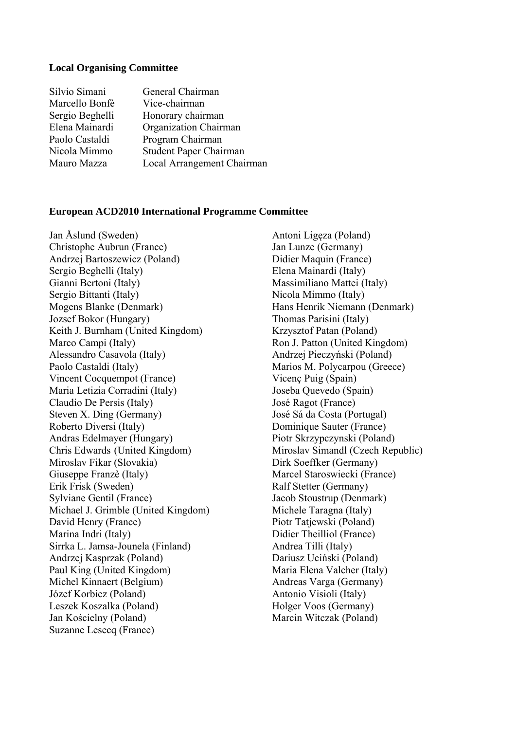#### **Local Organising Committee**

| Silvio Simani   | General Chairman           |
|-----------------|----------------------------|
| Marcello Bonfè  | Vice-chairman              |
| Sergio Beghelli | Honorary chairman          |
| Elena Mainardi  | Organization Chairman      |
| Paolo Castaldi  | Program Chairman           |
| Nicola Mimmo    | Student Paper Chairman     |
| Mauro Mazza     | Local Arrangement Chairman |

#### **European ACD2010 International Programme Committee**

Jan Åslund (Sweden) Christophe Aubrun (France) Andrzej Bartoszewicz (Poland) Sergio Beghelli (Italy) Gianni Bertoni (Italy) Sergio Bittanti (Italy) Mogens Blanke (Denmark) Jozsef Bokor (Hungary) Keith J. Burnham (United Kingdom) Marco Campi (Italy) Alessandro Casavola (Italy) Paolo Castaldi (Italy) Vincent Cocquempot (France) Maria Letizia Corradini (Italy) Claudio De Persis (Italy) Steven X. Ding (Germany) Roberto Diversi (Italy) Andras Edelmayer (Hungary) Chris Edwards (United Kingdom) Miroslav Fikar (Slovakia) Giuseppe Franzè (Italy) Erik Frisk (Sweden) Sylviane Gentil (France) Michael J. Grimble (United Kingdom) David Henry (France) Marina Indri (Italy) Sirrka L. Jamsa-Jounela (Finland) Andrzej Kasprzak (Poland) Paul King (United Kingdom) Michel Kinnaert (Belgium) Józef Korbicz (Poland) Leszek Koszalka (Poland) Jan Kościelny (Poland) Suzanne Lesecq (France)

 Antoni Ligęza (Poland) Jan Lunze (Germany) Didier Maquin (France) Elena Mainardi (Italy) Massimiliano Mattei (Italy) Nicola Mimmo (Italy) Hans Henrik Niemann (Denmark) Thomas Parisini (Italy) Krzysztof Patan (Poland) Ron J. Patton (United Kingdom) Andrzej Pieczyński (Poland) Marios M. Polycarpou (Greece) Vicenç Puig (Spain) Joseba Quevedo (Spain) José Ragot (France) José Sá da Costa (Portugal) Dominique Sauter (France) Piotr Skrzypczynski (Poland) Miroslav Simandl (Czech Republic) Dirk Soeffker (Germany) Marcel Staroswiecki (France) Ralf Stetter (Germany) Jacob Stoustrup (Denmark) Michele Taragna (Italy) Piotr Tatjewski (Poland) Didier Theilliol (France) Andrea Tilli (Italy) Dariusz Uciński (Poland) Maria Elena Valcher (Italy) Andreas Varga (Germany) Antonio Visioli (Italy) Holger Voos (Germany) Marcin Witczak (Poland)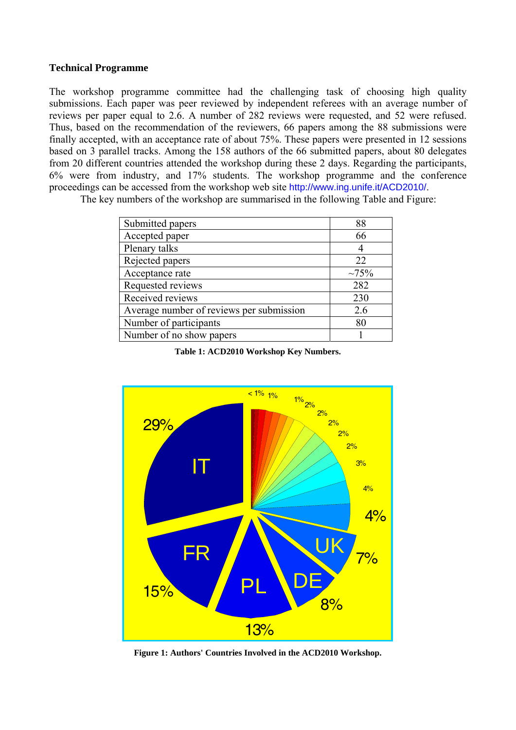## **Technical Programme**

The workshop programme committee had the challenging task of choosing high quality submissions. Each paper was peer reviewed by independent referees with an average number of reviews per paper equal to 2.6. A number of 282 reviews were requested, and 52 were refused. Thus, based on the recommendation of the reviewers, 66 papers among the 88 submissions were finally accepted, with an acceptance rate of about 75%. These papers were presented in 12 sessions based on 3 parallel tracks. Among the 158 authors of the 66 submitted papers, about 80 delegates from 20 different countries attended the workshop during these 2 days. Regarding the participants, 6% were from industry, and 17% students. The workshop programme and the conference proceedings can be accessed from the workshop web site http://www.ing.unife.it/ACD2010/.

The key numbers of the workshop are summarised in the following Table and Figure:

| Submitted papers                         | 88          |
|------------------------------------------|-------------|
| Accepted paper                           | 66          |
| Plenary talks                            | 4           |
| Rejected papers                          | 22          |
| Acceptance rate                          | $\sim 75\%$ |
| Requested reviews                        | 282         |
| Received reviews                         | 230         |
| Average number of reviews per submission | 2.6         |
| Number of participants                   | 80          |
| Number of no show papers                 |             |

**Table 1: ACD2010 Workshop Key Numbers.** 



**Figure 1: Authors' Countries Involved in the ACD2010 Workshop.**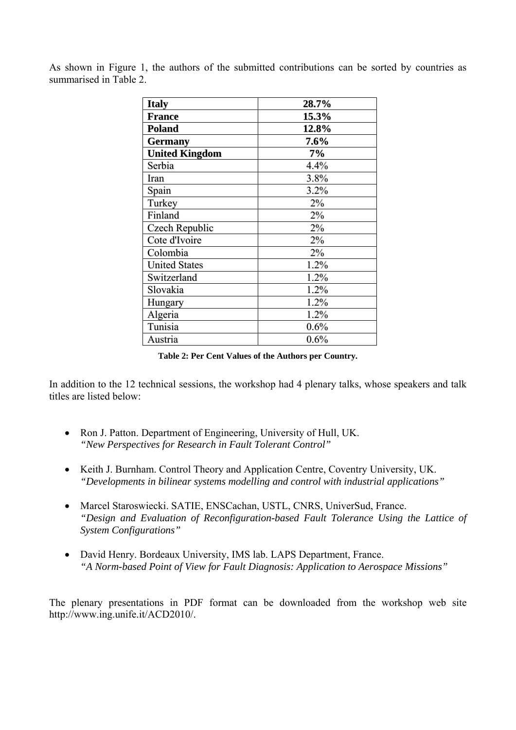As shown in Figure 1, the authors of the submitted contributions can be sorted by countries as summarised in Table 2.

| <b>Italy</b>          | 28.7% |
|-----------------------|-------|
| <b>France</b>         | 15.3% |
| <b>Poland</b>         | 12.8% |
| <b>Germany</b>        | 7.6%  |
| <b>United Kingdom</b> | 7%    |
| Serbia                | 4.4%  |
| Iran                  | 3.8%  |
| Spain                 | 3.2%  |
| Turkey                | 2%    |
| Finland               | 2%    |
| Czech Republic        | 2%    |
| Cote d'Ivoire         | 2%    |
| Colombia              | 2%    |
| <b>United States</b>  | 1.2%  |
| Switzerland           | 1.2%  |
| Slovakia              | 1.2%  |
| Hungary               | 1.2%  |
| Algeria               | 1.2%  |
| Tunisia               | 0.6%  |
| Austria               | 0.6%  |

**Table 2: Per Cent Values of the Authors per Country.** 

In addition to the 12 technical sessions, the workshop had 4 plenary talks, whose speakers and talk titles are listed below:

- Ron J. Patton. Department of Engineering, University of Hull, UK. *"New Perspectives for Research in Fault Tolerant Control"*
- Keith J. Burnham. Control Theory and Application Centre, Coventry University, UK. *"Developments in bilinear systems modelling and control with industrial applications"*
- Marcel Staroswiecki. SATIE, ENSCachan, USTL, CNRS, UniverSud, France. *"Design and Evaluation of Reconfiguration-based Fault Tolerance Using the Lattice of System Configurations"*
- David Henry. Bordeaux University, IMS lab. LAPS Department, France. *"A Norm-based Point of View for Fault Diagnosis: Application to Aerospace Missions"*

The plenary presentations in PDF format can be downloaded from the workshop web site http://www.ing.unife.it/ACD2010/.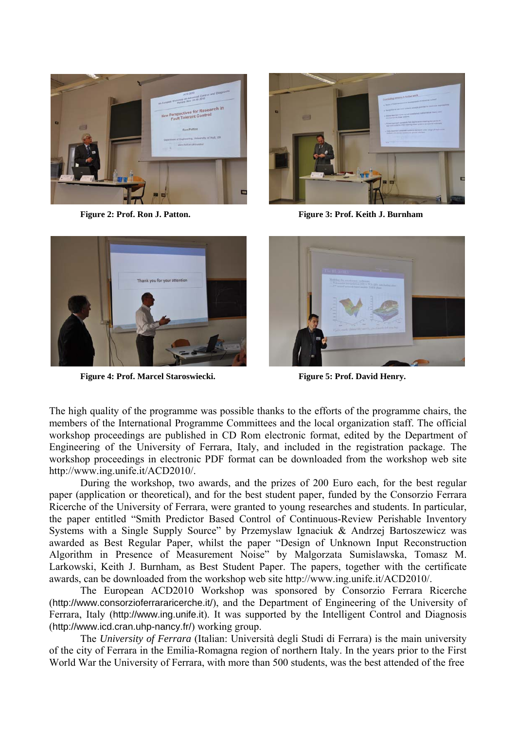



**Figure 2: Prof. Ron J. Patton. Figure 3: Prof. Keith J. Burnham** 



**Figure 4: Prof. Marcel Staroswiecki. Figure 5: Prof. David Henry.** 



The high quality of the programme was possible thanks to the efforts of the programme chairs, the members of the International Programme Committees and the local organization staff. The official workshop proceedings are published in CD Rom electronic format, edited by the Department of Engineering of the University of Ferrara, Italy, and included in the registration package. The workshop proceedings in electronic PDF format can be downloaded from the workshop web site http://www.ing.unife.it/ACD2010/.

During the workshop, two awards, and the prizes of 200 Euro each, for the best regular paper (application or theoretical), and for the best student paper, funded by the Consorzio Ferrara Ricerche of the University of Ferrara, were granted to young researches and students. In particular, the paper entitled "Smith Predictor Based Control of Continuous-Review Perishable Inventory Systems with a Single Supply Source" by Przemyslaw Ignaciuk & Andrzej Bartoszewicz was awarded as Best Regular Paper, whilst the paper "Design of Unknown Input Reconstruction Algorithm in Presence of Measurement Noise" by Malgorzata Sumislawska, Tomasz M. Larkowski, Keith J. Burnham, as Best Student Paper. The papers, together with the certificate awards, can be downloaded from the workshop web site http://www.ing.unife.it/ACD2010/.

The European ACD2010 Workshop was sponsored by Consorzio Ferrara Ricerche (http://www.consorzioferrararicerche.it/), and the Department of Engineering of the University of Ferrara, Italy (http://www.ing.unife.it). It was supported by the Intelligent Control and Diagnosis (http://www.icd.cran.uhp-nancy.fr/) working group.

The *University of Ferrara* (Italian: Università degli Studi di Ferrara) is the main university of the city of Ferrara in the Emilia-Romagna region of northern Italy. In the years prior to the First World War the University of Ferrara, with more than 500 students, was the best attended of the free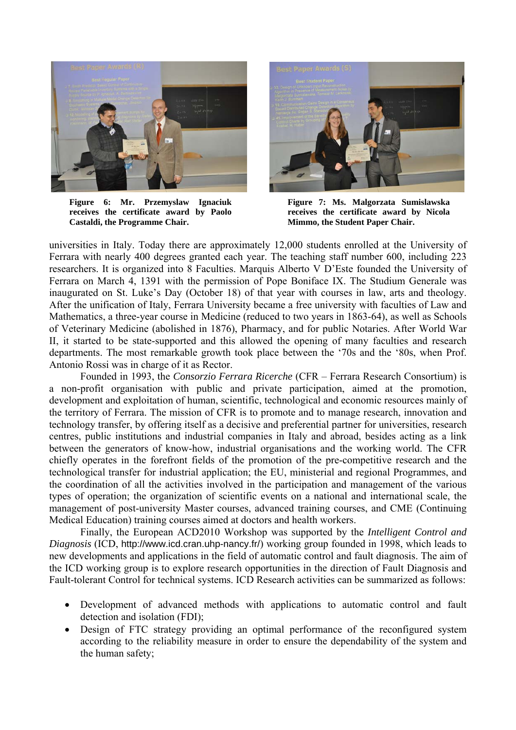

**Figure 6: Mr. Przemyslaw Ignaciuk receives the certificate award by Paolo Castaldi, the Programme Chair.** 



**Figure 7: Ms. Malgorzata Sumislawska receives the certificate award by Nicola Mimmo, the Student Paper Chair.**

universities in Italy. Today there are approximately 12,000 students enrolled at the University of Ferrara with nearly 400 degrees granted each year. The teaching staff number 600, including 223 researchers. It is organized into 8 Faculties. Marquis Alberto V D'Este founded the University of Ferrara on March 4, 1391 with the permission of Pope Boniface IX. The Studium Generale was inaugurated on St. Luke's Day (October 18) of that year with courses in law, arts and theology. After the unification of Italy, Ferrara University became a free university with faculties of Law and Mathematics, a three-year course in Medicine (reduced to two years in 1863-64), as well as Schools of Veterinary Medicine (abolished in 1876), Pharmacy, and for public Notaries. After World War II, it started to be state-supported and this allowed the opening of many faculties and research departments. The most remarkable growth took place between the '70s and the '80s, when Prof. Antonio Rossi was in charge of it as Rector.

Founded in 1993, the *Consorzio Ferrara Ricerche* (CFR – Ferrara Research Consortium) is a non-profit organisation with public and private participation, aimed at the promotion, development and exploitation of human, scientific, technological and economic resources mainly of the territory of Ferrara. The mission of CFR is to promote and to manage research, innovation and technology transfer, by offering itself as a decisive and preferential partner for universities, research centres, public institutions and industrial companies in Italy and abroad, besides acting as a link between the generators of know-how, industrial organisations and the working world. The CFR chiefly operates in the forefront fields of the promotion of the pre-competitive research and the technological transfer for industrial application; the EU, ministerial and regional Programmes, and the coordination of all the activities involved in the participation and management of the various types of operation; the organization of scientific events on a national and international scale, the management of post-university Master courses, advanced training courses, and CME (Continuing Medical Education) training courses aimed at doctors and health workers.

Finally, the European ACD2010 Workshop was supported by the *Intelligent Control and Diagnosis* (ICD, http://www.icd.cran.uhp-nancy.fr/) working group founded in 1998, which leads to new developments and applications in the field of automatic control and fault diagnosis. The aim of the ICD working group is to explore research opportunities in the direction of Fault Diagnosis and Fault-tolerant Control for technical systems. ICD Research activities can be summarized as follows:

- Development of advanced methods with applications to automatic control and fault detection and isolation (FDI);
- Design of FTC strategy providing an optimal performance of the reconfigured system according to the reliability measure in order to ensure the dependability of the system and the human safety;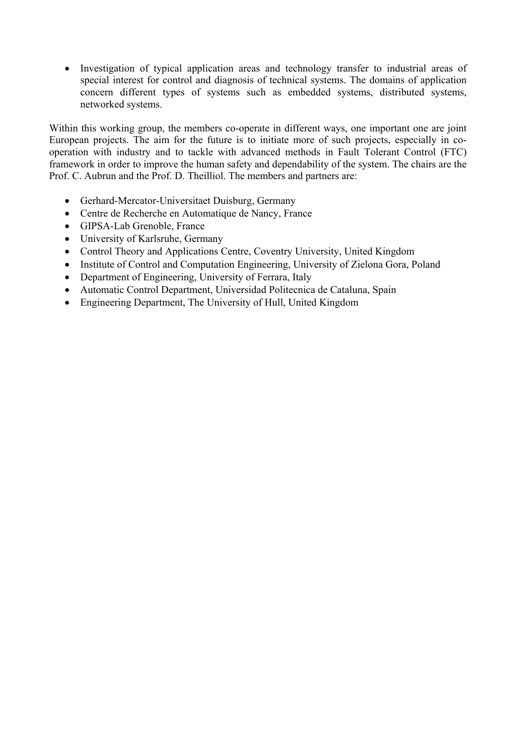• Investigation of typical application areas and technology transfer to industrial areas of special interest for control and diagnosis of technical systems. The domains of application concern different types of systems such as embedded systems, distributed systems, networked systems.

Within this working group, the members co-operate in different ways, one important one are joint European projects. The aim for the future is to initiate more of such projects, especially in cooperation with industry and to tackle with advanced methods in Fault Tolerant Control (FTC) framework in order to improve the human safety and dependability of the system. The chairs are the Prof. C. Aubrun and the Prof. D. Theilliol. The members and partners are:

- Gerhard-Mercator-Universitaet Duisburg, Germany
- Centre de Recherche en Automatique de Nancy, France
- GIPSA-Lab Grenoble, France
- University of Karlsruhe, Germany
- Control Theory and Applications Centre, Coventry University, United Kingdom
- Institute of Control and Computation Engineering, University of Zielona Gora, Poland
- Department of Engineering, University of Ferrara, Italy
- Automatic Control Department, Universidad Politecnica de Cataluna, Spain
- Engineering Department, The University of Hull, United Kingdom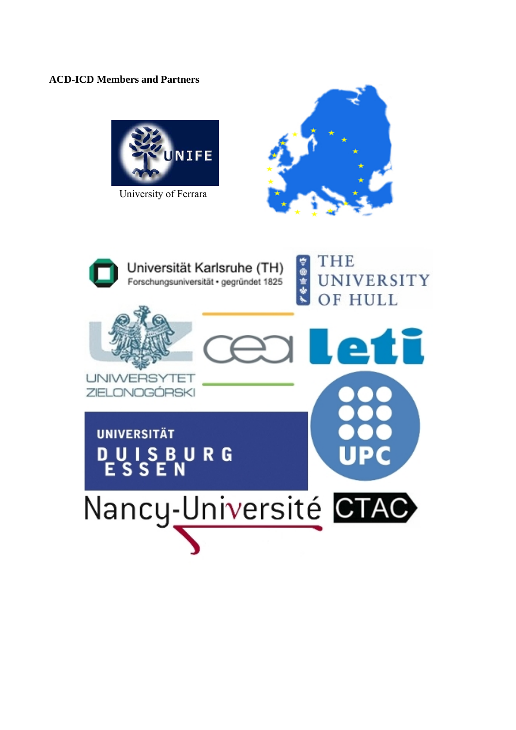## **ACD-ICD Members and Partners**



University of Ferrara